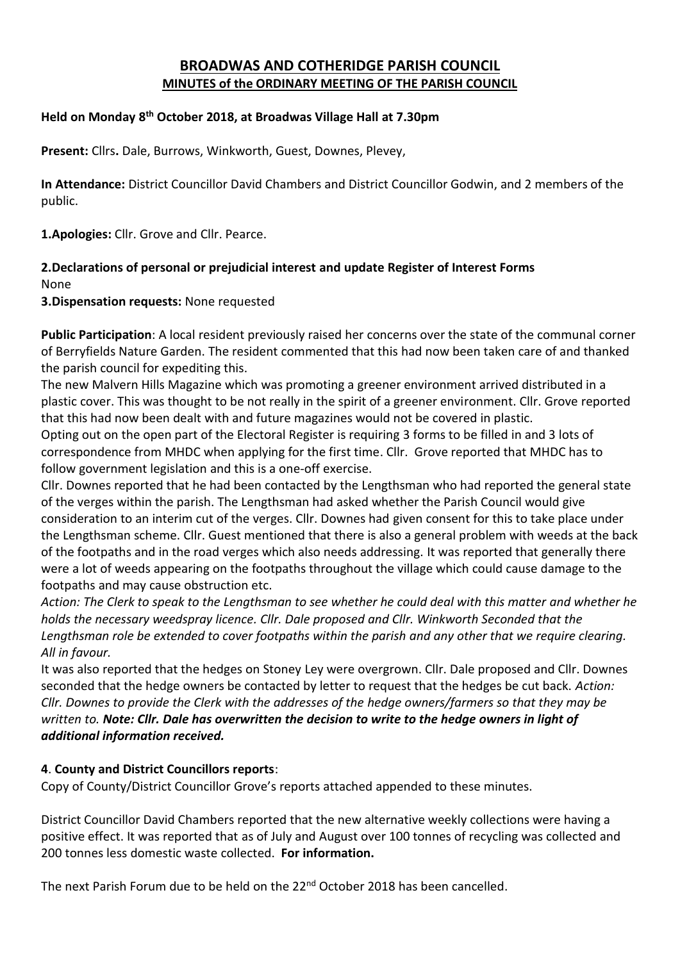# **BROADWAS AND COTHERIDGE PARISH COUNCIL MINUTES of the ORDINARY MEETING OF THE PARISH COUNCIL**

# **Held on Monday 8 th October 2018, at Broadwas Village Hall at 7.30pm**

**Present:** Cllrs**.** Dale, Burrows, Winkworth, Guest, Downes, Plevey,

**In Attendance:** District Councillor David Chambers and District Councillor Godwin, and 2 members of the public.

**1.Apologies:** Cllr. Grove and Cllr. Pearce.

# **2.Declarations of personal or prejudicial interest and update Register of Interest Forms**

None

**3.Dispensation requests:** None requested

**Public Participation**: A local resident previously raised her concerns over the state of the communal corner of Berryfields Nature Garden. The resident commented that this had now been taken care of and thanked the parish council for expediting this.

The new Malvern Hills Magazine which was promoting a greener environment arrived distributed in a plastic cover. This was thought to be not really in the spirit of a greener environment. Cllr. Grove reported that this had now been dealt with and future magazines would not be covered in plastic.

Opting out on the open part of the Electoral Register is requiring 3 forms to be filled in and 3 lots of correspondence from MHDC when applying for the first time. Cllr. Grove reported that MHDC has to follow government legislation and this is a one-off exercise.

Cllr. Downes reported that he had been contacted by the Lengthsman who had reported the general state of the verges within the parish. The Lengthsman had asked whether the Parish Council would give consideration to an interim cut of the verges. Cllr. Downes had given consent for this to take place under the Lengthsman scheme. Cllr. Guest mentioned that there is also a general problem with weeds at the back of the footpaths and in the road verges which also needs addressing. It was reported that generally there were a lot of weeds appearing on the footpaths throughout the village which could cause damage to the footpaths and may cause obstruction etc.

*Action: The Clerk to speak to the Lengthsman to see whether he could deal with this matter and whether he holds the necessary weedspray licence. Cllr. Dale proposed and Cllr. Winkworth Seconded that the Lengthsman role be extended to cover footpaths within the parish and any other that we require clearing. All in favour.*

It was also reported that the hedges on Stoney Ley were overgrown. Cllr. Dale proposed and Cllr. Downes seconded that the hedge owners be contacted by letter to request that the hedges be cut back. *Action: Cllr. Downes to provide the Clerk with the addresses of the hedge owners/farmers so that they may be written to. Note: Cllr. Dale has overwritten the decision to write to the hedge owners in light of additional information received.*

# **4**. **County and District Councillors reports**:

Copy of County/District Councillor Grove's reports attached appended to these minutes.

District Councillor David Chambers reported that the new alternative weekly collections were having a positive effect. It was reported that as of July and August over 100 tonnes of recycling was collected and 200 tonnes less domestic waste collected. **For information.**

The next Parish Forum due to be held on the 22<sup>nd</sup> October 2018 has been cancelled.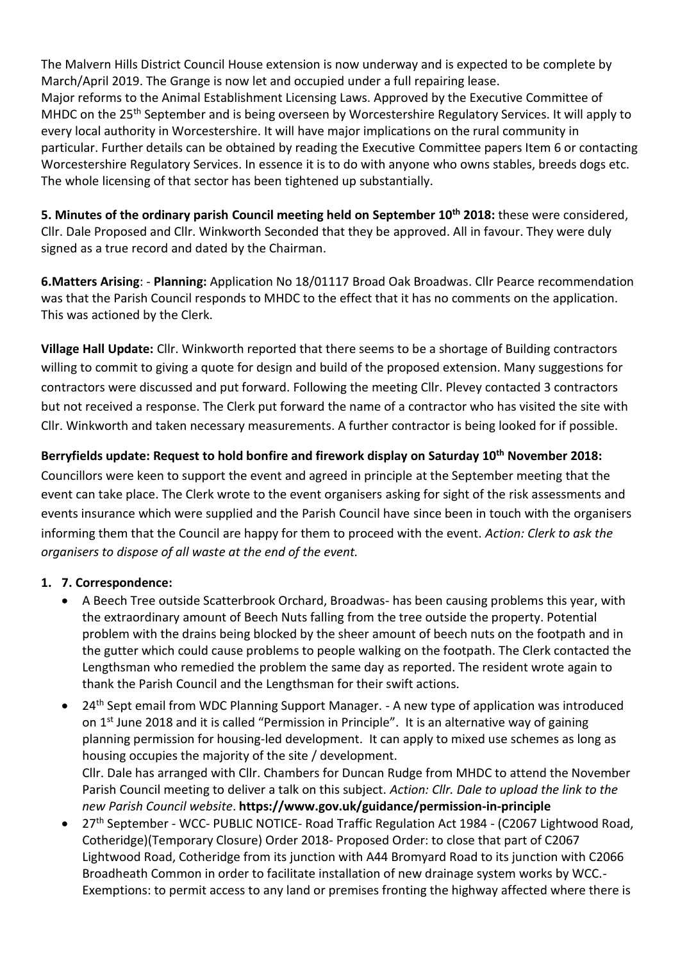The Malvern Hills District Council House extension is now underway and is expected to be complete by March/April 2019. The Grange is now let and occupied under a full repairing lease. Major reforms to the Animal Establishment Licensing Laws. Approved by the Executive Committee of MHDC on the 25<sup>th</sup> September and is being overseen by Worcestershire Regulatory Services. It will apply to every local authority in Worcestershire. It will have major implications on the rural community in particular. Further details can be obtained by reading the Executive Committee papers Item 6 or contacting Worcestershire Regulatory Services. In essence it is to do with anyone who owns stables, breeds dogs etc. The whole licensing of that sector has been tightened up substantially.

**5. Minutes of the ordinary parish Council meeting held on September 10th 2018:** these were considered, Cllr. Dale Proposed and Cllr. Winkworth Seconded that they be approved. All in favour. They were duly signed as a true record and dated by the Chairman.

**6.Matters Arising**: - **Planning:** Application No 18/01117 Broad Oak Broadwas. Cllr Pearce recommendation was that the Parish Council responds to MHDC to the effect that it has no comments on the application. This was actioned by the Clerk.

**Village Hall Update:** Cllr. Winkworth reported that there seems to be a shortage of Building contractors willing to commit to giving a quote for design and build of the proposed extension. Many suggestions for contractors were discussed and put forward. Following the meeting Cllr. Plevey contacted 3 contractors but not received a response. The Clerk put forward the name of a contractor who has visited the site with Cllr. Winkworth and taken necessary measurements. A further contractor is being looked for if possible.

**Berryfields update: Request to hold bonfire and firework display on Saturday 10th November 2018:**

Councillors were keen to support the event and agreed in principle at the September meeting that the event can take place. The Clerk wrote to the event organisers asking for sight of the risk assessments and events insurance which were supplied and the Parish Council have since been in touch with the organisers informing them that the Council are happy for them to proceed with the event. *Action: Clerk to ask the organisers to dispose of all waste at the end of the event.*

# **1. 7. Correspondence:**

- A Beech Tree outside Scatterbrook Orchard, Broadwas- has been causing problems this year, with the extraordinary amount of Beech Nuts falling from the tree outside the property. Potential problem with the drains being blocked by the sheer amount of beech nuts on the footpath and in the gutter which could cause problems to people walking on the footpath. The Clerk contacted the Lengthsman who remedied the problem the same day as reported. The resident wrote again to thank the Parish Council and the Lengthsman for their swift actions.
- 24<sup>th</sup> Sept email from WDC Planning Support Manager. A new type of application was introduced on 1<sup>st</sup> June 2018 and it is called "Permission in Principle". It is an alternative way of gaining planning permission for housing-led development. It can apply to mixed use schemes as long as housing occupies the majority of the site / development. Cllr. Dale has arranged with Cllr. Chambers for Duncan Rudge from MHDC to attend the November Parish Council meeting to deliver a talk on this subject. *Action: Cllr. Dale to upload the link to the new Parish Council website*. **https://www.gov.uk/guidance/permission-in-principle**
- 27<sup>th</sup> September WCC- PUBLIC NOTICE- Road Traffic Regulation Act 1984 (C2067 Lightwood Road, Cotheridge)(Temporary Closure) Order 2018- Proposed Order: to close that part of C2067 Lightwood Road, Cotheridge from its junction with A44 Bromyard Road to its junction with C2066 Broadheath Common in order to facilitate installation of new drainage system works by WCC.- Exemptions: to permit access to any land or premises fronting the highway affected where there is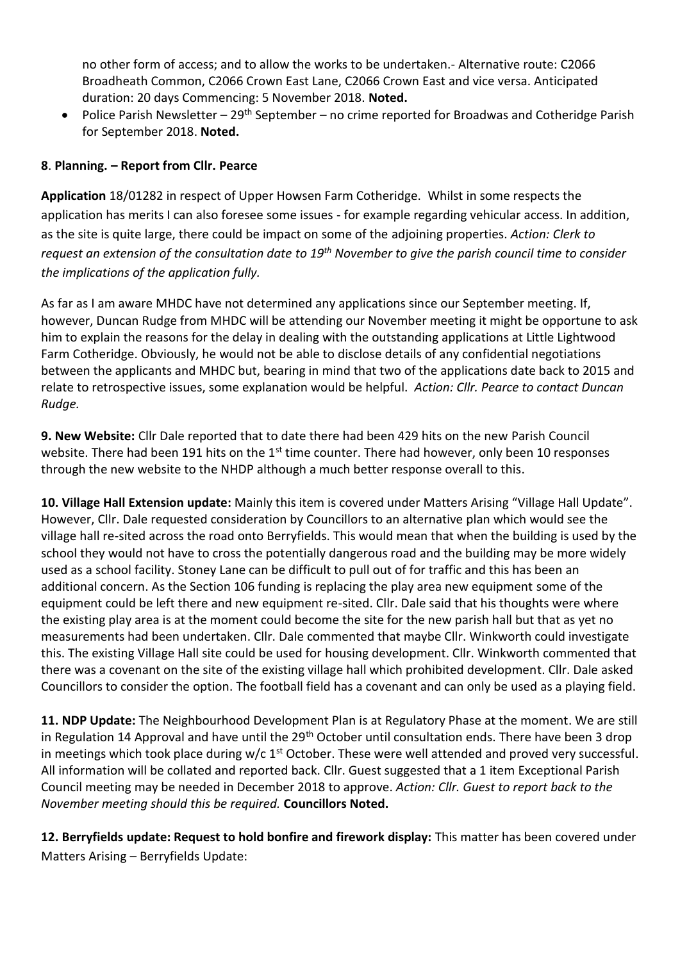no other form of access; and to allow the works to be undertaken.- Alternative route: C2066 Broadheath Common, C2066 Crown East Lane, C2066 Crown East and vice versa. Anticipated duration: 20 days Commencing: 5 November 2018. **Noted.**

• Police Parish Newsletter –  $29<sup>th</sup>$  September – no crime reported for Broadwas and Cotheridge Parish for September 2018. **Noted.**

# **8**. **Planning. – Report from Cllr. Pearce**

**Application** 18/01282 in respect of Upper Howsen Farm Cotheridge. Whilst in some respects the application has merits I can also foresee some issues - for example regarding vehicular access. In addition, as the site is quite large, there could be impact on some of the adjoining properties. *Action: Clerk to request an extension of the consultation date to 19th November to give the parish council time to consider the implications of the application fully.*

As far as I am aware MHDC have not determined any applications since our September meeting. If, however, Duncan Rudge from MHDC will be attending our November meeting it might be opportune to ask him to explain the reasons for the delay in dealing with the outstanding applications at Little Lightwood Farm Cotheridge. Obviously, he would not be able to disclose details of any confidential negotiations between the applicants and MHDC but, bearing in mind that two of the applications date back to 2015 and relate to retrospective issues, some explanation would be helpful. *Action: Cllr. Pearce to contact Duncan Rudge.*

**9. New Website:** Cllr Dale reported that to date there had been 429 hits on the new Parish Council website. There had been 191 hits on the 1<sup>st</sup> time counter. There had however, only been 10 responses through the new website to the NHDP although a much better response overall to this.

**10. Village Hall Extension update:** Mainly this item is covered under Matters Arising "Village Hall Update". However, Cllr. Dale requested consideration by Councillors to an alternative plan which would see the village hall re-sited across the road onto Berryfields. This would mean that when the building is used by the school they would not have to cross the potentially dangerous road and the building may be more widely used as a school facility. Stoney Lane can be difficult to pull out of for traffic and this has been an additional concern. As the Section 106 funding is replacing the play area new equipment some of the equipment could be left there and new equipment re-sited. Cllr. Dale said that his thoughts were where the existing play area is at the moment could become the site for the new parish hall but that as yet no measurements had been undertaken. Cllr. Dale commented that maybe Cllr. Winkworth could investigate this. The existing Village Hall site could be used for housing development. Cllr. Winkworth commented that there was a covenant on the site of the existing village hall which prohibited development. Cllr. Dale asked Councillors to consider the option. The football field has a covenant and can only be used as a playing field.

**11. NDP Update:** The Neighbourhood Development Plan is at Regulatory Phase at the moment. We are still in Regulation 14 Approval and have until the 29<sup>th</sup> October until consultation ends. There have been 3 drop in meetings which took place during  $w/c$  1<sup>st</sup> October. These were well attended and proved very successful. All information will be collated and reported back. Cllr. Guest suggested that a 1 item Exceptional Parish Council meeting may be needed in December 2018 to approve. *Action: Cllr. Guest to report back to the November meeting should this be required.* **Councillors Noted.**

**12. Berryfields update: Request to hold bonfire and firework display:** This matter has been covered under Matters Arising – Berryfields Update: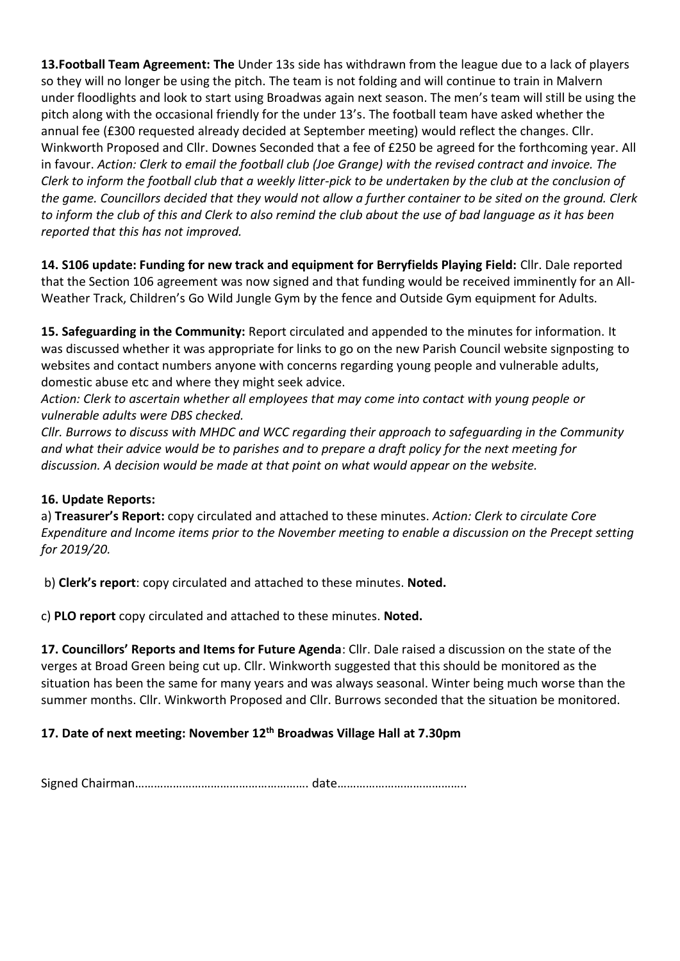**13.Football Team Agreement: The** Under 13s side has withdrawn from the league due to a lack of players so they will no longer be using the pitch. The team is not folding and will continue to train in Malvern under floodlights and look to start using Broadwas again next season. The men's team will still be using the pitch along with the occasional friendly for the under 13's. The football team have asked whether the annual fee (£300 requested already decided at September meeting) would reflect the changes. Cllr. Winkworth Proposed and Cllr. Downes Seconded that a fee of £250 be agreed for the forthcoming year. All in favour. *Action: Clerk to email the football club (Joe Grange) with the revised contract and invoice. The Clerk to inform the football club that a weekly litter-pick to be undertaken by the club at the conclusion of the game. Councillors decided that they would not allow a further container to be sited on the ground. Clerk to inform the club of this and Clerk to also remind the club about the use of bad language as it has been reported that this has not improved.*

**14. S106 update: Funding for new track and equipment for Berryfields Playing Field:** Cllr. Dale reported that the Section 106 agreement was now signed and that funding would be received imminently for an All-Weather Track, Children's Go Wild Jungle Gym by the fence and Outside Gym equipment for Adults.

**15. Safeguarding in the Community:** Report circulated and appended to the minutes for information. It was discussed whether it was appropriate for links to go on the new Parish Council website signposting to websites and contact numbers anyone with concerns regarding young people and vulnerable adults, domestic abuse etc and where they might seek advice.

*Action: Clerk to ascertain whether all employees that may come into contact with young people or vulnerable adults were DBS checked.*

*Cllr. Burrows to discuss with MHDC and WCC regarding their approach to safeguarding in the Community and what their advice would be to parishes and to prepare a draft policy for the next meeting for discussion. A decision would be made at that point on what would appear on the website.*

# **16. Update Reports:**

a) **Treasurer's Report:** copy circulated and attached to these minutes. *Action: Clerk to circulate Core Expenditure and Income items prior to the November meeting to enable a discussion on the Precept setting for 2019/20.*

b) **Clerk's report**: copy circulated and attached to these minutes. **Noted.**

c) **PLO report** copy circulated and attached to these minutes. **Noted.**

**17. Councillors' Reports and Items for Future Agenda**: Cllr. Dale raised a discussion on the state of the verges at Broad Green being cut up. Cllr. Winkworth suggested that this should be monitored as the situation has been the same for many years and was always seasonal. Winter being much worse than the summer months. Cllr. Winkworth Proposed and Cllr. Burrows seconded that the situation be monitored.

# **17. Date of next meeting: November 12th Broadwas Village Hall at 7.30pm**

Signed Chairman………………………………………………. date…………………………………..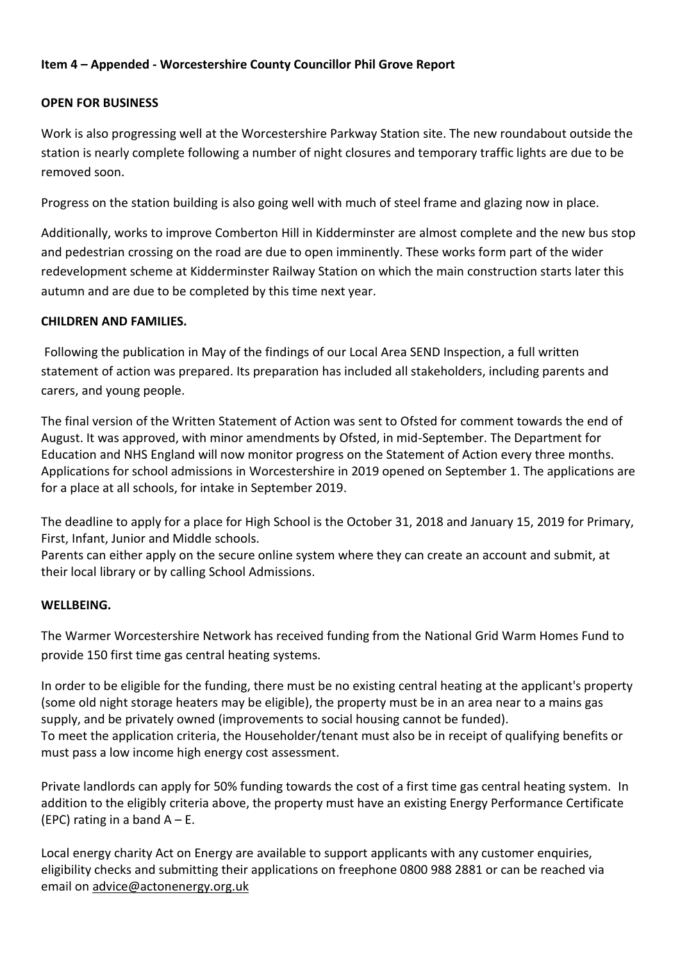# **Item 4 – Appended - Worcestershire County Councillor Phil Grove Report**

# **OPEN FOR BUSINESS**

Work is also progressing well at the Worcestershire Parkway Station site. The new roundabout outside the station is nearly complete following a number of night closures and temporary traffic lights are due to be removed soon.

Progress on the station building is also going well with much of steel frame and glazing now in place.

Additionally, works to improve Comberton Hill in Kidderminster are almost complete and the new bus stop and pedestrian crossing on the road are due to open imminently. These works form part of the wider redevelopment scheme at Kidderminster Railway Station on which the main construction starts later this autumn and are due to be completed by this time next year.

# **CHILDREN AND FAMILIES.**

Following the publication in May of the findings of our Local Area SEND Inspection, a full written statement of action was prepared. Its preparation has included all stakeholders, including parents and carers, and young people.

The final version of the Written Statement of Action was sent to Ofsted for comment towards the end of August. It was approved, with minor amendments by Ofsted, in mid-September. The Department for Education and NHS England will now monitor progress on the Statement of Action every three months. Applications for school admissions in Worcestershire in 2019 opened on September 1. The applications are for a place at all schools, for intake in September 2019.

The deadline to apply for a place for High School is the October 31, 2018 and January 15, 2019 for Primary, First, Infant, Junior and Middle schools.

Parents can either apply on the secure online system where they can create an account and submit, at their local library or by calling School Admissions.

# **WELLBEING.**

The Warmer Worcestershire Network has received funding from the National Grid Warm Homes Fund to provide 150 first time gas central heating systems.

In order to be eligible for the funding, there must be no existing central heating at the applicant's property (some old night storage heaters may be eligible), the property must be in an area near to a mains gas supply, and be privately owned (improvements to social housing cannot be funded). To meet the application criteria, the Householder/tenant must also be in receipt of qualifying benefits or must pass a low income high energy cost assessment.

Private landlords can apply for 50% funding towards the cost of a first time gas central heating system. In addition to the eligibly criteria above, the property must have an existing Energy Performance Certificate (EPC) rating in a band  $A - E$ .

Local energy charity Act on Energy are available to support applicants with any customer enquiries, eligibility checks and submitting their applications on freephone 0800 988 2881 or can be reached via email on [advice@actonenergy.org.uk](mailto:advice@actonenergy.org.uk)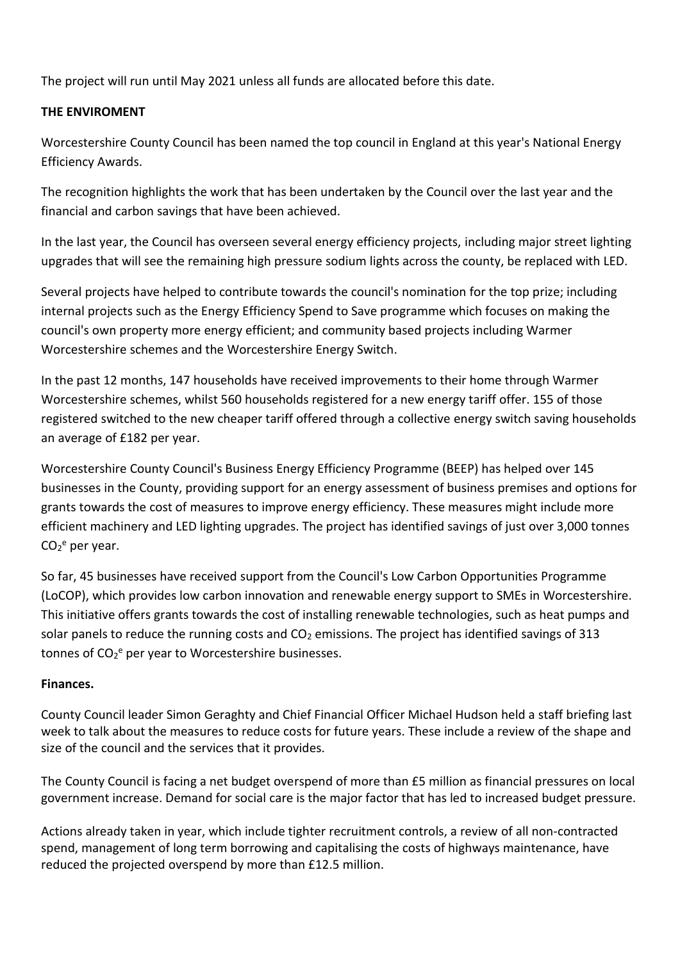The project will run until May 2021 unless all funds are allocated before this date.

# **THE ENVIROMENT**

Worcestershire County Council has been named the top council in England at this year's National Energy Efficiency Awards.

The recognition highlights the work that has been undertaken by the Council over the last year and the financial and carbon savings that have been achieved.

In the last year, the Council has overseen several energy efficiency projects, including major street lighting upgrades that will see the remaining high pressure sodium lights across the county, be replaced with LED.

Several projects have helped to contribute towards the council's nomination for the top prize; including internal projects such as the Energy Efficiency Spend to Save programme which focuses on making the council's own property more energy efficient; and community based projects including Warmer Worcestershire schemes and the Worcestershire Energy Switch.

In the past 12 months, 147 households have received improvements to their home through Warmer Worcestershire schemes, whilst 560 households registered for a new energy tariff offer. 155 of those registered switched to the new cheaper tariff offered through a collective energy switch saving households an average of £182 per year.

Worcestershire County Council's Business Energy Efficiency Programme (BEEP) has helped over 145 businesses in the County, providing support for an energy assessment of business premises and options for grants towards the cost of measures to improve energy efficiency. These measures might include more efficient machinery and LED lighting upgrades. The project has identified savings of just over 3,000 tonnes  $CO<sub>2</sub>e$  per year.

So far, 45 businesses have received support from the Council's Low Carbon Opportunities Programme (LoCOP), which provides low carbon innovation and renewable energy support to SMEs in Worcestershire. This initiative offers grants towards the cost of installing renewable technologies, such as heat pumps and solar panels to reduce the running costs and  $CO<sub>2</sub>$  emissions. The project has identified savings of 313 tonnes of CO<sub>2</sub><sup>e</sup> per year to Worcestershire businesses.

# **Finances.**

County Council leader Simon Geraghty and Chief Financial Officer Michael Hudson held a staff briefing last week to talk about the measures to reduce costs for future years. These include a review of the shape and size of the council and the services that it provides.

The County Council is facing a net budget overspend of more than £5 million as financial pressures on local government increase. Demand for social care is the major factor that has led to increased budget pressure.

Actions already taken in year, which include tighter recruitment controls, a review of all non-contracted spend, management of long term borrowing and capitalising the costs of highways maintenance, have reduced the projected overspend by more than £12.5 million.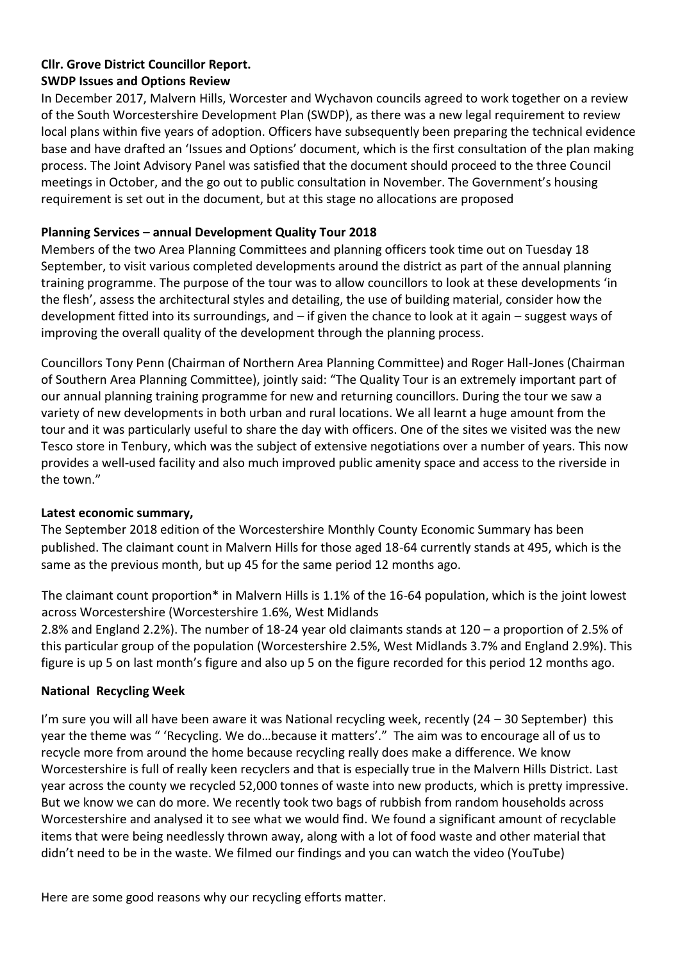# **Cllr. Grove District Councillor Report.**

# **SWDP Issues and Options Review**

In December 2017, Malvern Hills, Worcester and Wychavon councils agreed to work together on a review of the South Worcestershire Development Plan (SWDP), as there was a new legal requirement to review local plans within five years of adoption. Officers have subsequently been preparing the technical evidence base and have drafted an 'Issues and Options' document, which is the first consultation of the plan making process. The Joint Advisory Panel was satisfied that the document should proceed to the three Council meetings in October, and the go out to public consultation in November. The Government's housing requirement is set out in the document, but at this stage no allocations are proposed

# **Planning Services – annual Development Quality Tour 2018**

Members of the two Area Planning Committees and planning officers took time out on Tuesday 18 September, to visit various completed developments around the district as part of the annual planning training programme. The purpose of the tour was to allow councillors to look at these developments 'in the flesh', assess the architectural styles and detailing, the use of building material, consider how the development fitted into its surroundings, and – if given the chance to look at it again – suggest ways of improving the overall quality of the development through the planning process.

Councillors Tony Penn (Chairman of Northern Area Planning Committee) and Roger Hall-Jones (Chairman of Southern Area Planning Committee), jointly said: "The Quality Tour is an extremely important part of our annual planning training programme for new and returning councillors. During the tour we saw a variety of new developments in both urban and rural locations. We all learnt a huge amount from the tour and it was particularly useful to share the day with officers. One of the sites we visited was the new Tesco store in Tenbury, which was the subject of extensive negotiations over a number of years. This now provides a well-used facility and also much improved public amenity space and access to the riverside in the town."

# **Latest economic summary,**

The September 2018 edition of the Worcestershire Monthly County Economic Summary has been published. The claimant count in Malvern Hills for those aged 18-64 currently stands at 495, which is the same as the previous month, but up 45 for the same period 12 months ago.

The claimant count proportion\* in Malvern Hills is 1.1% of the 16-64 population, which is the joint lowest across Worcestershire (Worcestershire 1.6%, West Midlands

2.8% and England 2.2%). The number of 18-24 year old claimants stands at 120 – a proportion of 2.5% of this particular group of the population (Worcestershire 2.5%, West Midlands 3.7% and England 2.9%). This figure is up 5 on last month's figure and also up 5 on the figure recorded for this period 12 months ago.

# **National Recycling Week**

I'm sure you will all have been aware it was National recycling week, recently (24 – 30 September) this year the theme was " 'Recycling. We do…because it matters'." The aim was to encourage all of us to recycle more from around the home because recycling really does make a difference. We know Worcestershire is full of really keen recyclers and that is especially true in the Malvern Hills District. Last year across the county we recycled 52,000 tonnes of waste into new products, which is pretty impressive. But we know we can do more. We recently took two bags of rubbish from random households across Worcestershire and analysed it to see what we would find. We found a significant amount of recyclable items that were being needlessly thrown away, along with a lot of food waste and other material that didn't need to be in the waste. We filmed our findings and you can watch the video (YouTube)

Here are some good reasons why our recycling efforts matter.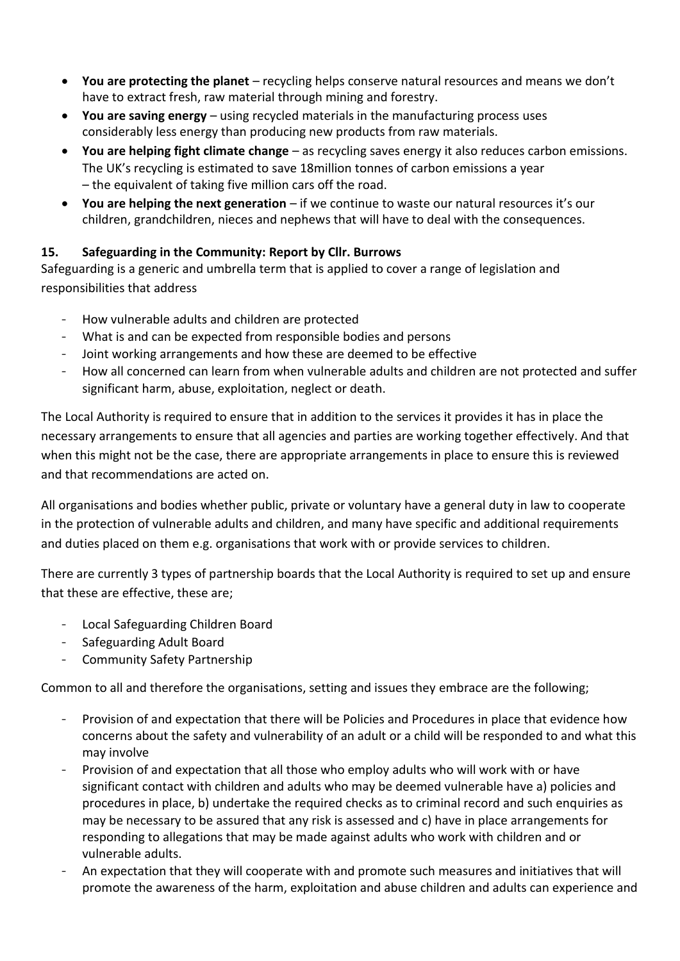- You are protecting the planet recycling helps conserve natural resources and means we don't have to extract fresh, raw material through mining and forestry.
- **You are saving energy**  using recycled materials in the manufacturing process uses considerably less energy than producing new products from raw materials.
- **You are helping fight climate change**  as recycling saves energy it also reduces carbon emissions. The UK's recycling is estimated to save 18million tonnes of carbon emissions a year – the equivalent of taking five million cars off the road.
- **You are helping the next generation**  if we continue to waste our natural resources it's our children, grandchildren, nieces and nephews that will have to deal with the consequences.

# **15. Safeguarding in the Community: Report by Cllr. Burrows**

Safeguarding is a generic and umbrella term that is applied to cover a range of legislation and responsibilities that address

- How vulnerable adults and children are protected
- What is and can be expected from responsible bodies and persons
- Joint working arrangements and how these are deemed to be effective
- How all concerned can learn from when vulnerable adults and children are not protected and suffer significant harm, abuse, exploitation, neglect or death.

The Local Authority is required to ensure that in addition to the services it provides it has in place the necessary arrangements to ensure that all agencies and parties are working together effectively. And that when this might not be the case, there are appropriate arrangements in place to ensure this is reviewed and that recommendations are acted on.

All organisations and bodies whether public, private or voluntary have a general duty in law to cooperate in the protection of vulnerable adults and children, and many have specific and additional requirements and duties placed on them e.g. organisations that work with or provide services to children.

There are currently 3 types of partnership boards that the Local Authority is required to set up and ensure that these are effective, these are;

- Local Safeguarding Children Board
- Safeguarding Adult Board
- Community Safety Partnership

Common to all and therefore the organisations, setting and issues they embrace are the following;

- Provision of and expectation that there will be Policies and Procedures in place that evidence how concerns about the safety and vulnerability of an adult or a child will be responded to and what this may involve
- Provision of and expectation that all those who employ adults who will work with or have significant contact with children and adults who may be deemed vulnerable have a) policies and procedures in place, b) undertake the required checks as to criminal record and such enquiries as may be necessary to be assured that any risk is assessed and c) have in place arrangements for responding to allegations that may be made against adults who work with children and or vulnerable adults.
- An expectation that they will cooperate with and promote such measures and initiatives that will promote the awareness of the harm, exploitation and abuse children and adults can experience and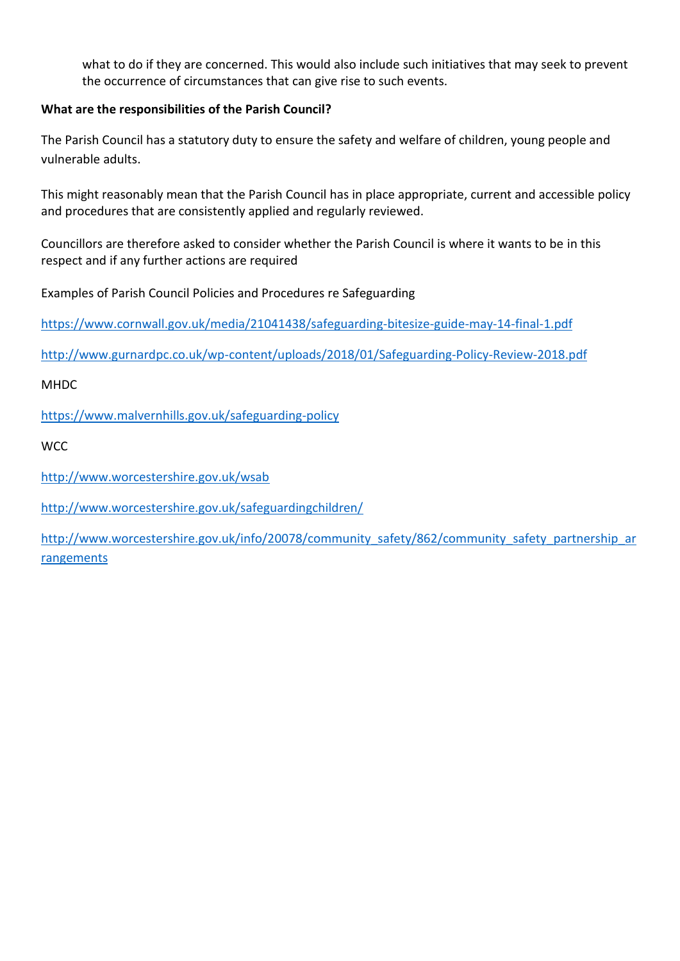what to do if they are concerned. This would also include such initiatives that may seek to prevent the occurrence of circumstances that can give rise to such events.

# **What are the responsibilities of the Parish Council?**

The Parish Council has a statutory duty to ensure the safety and welfare of children, young people and vulnerable adults.

This might reasonably mean that the Parish Council has in place appropriate, current and accessible policy and procedures that are consistently applied and regularly reviewed.

Councillors are therefore asked to consider whether the Parish Council is where it wants to be in this respect and if any further actions are required

Examples of Parish Council Policies and Procedures re Safeguarding

<https://www.cornwall.gov.uk/media/21041438/safeguarding-bitesize-guide-may-14-final-1.pdf>

<http://www.gurnardpc.co.uk/wp-content/uploads/2018/01/Safeguarding-Policy-Review-2018.pdf>

MHDC

<https://www.malvernhills.gov.uk/safeguarding-policy>

**WCC** 

<http://www.worcestershire.gov.uk/wsab>

<http://www.worcestershire.gov.uk/safeguardingchildren/>

[http://www.worcestershire.gov.uk/info/20078/community\\_safety/862/community\\_safety\\_partnership\\_ar](http://www.worcestershire.gov.uk/info/20078/community_safety/862/community_safety_partnership_arrangements) [rangements](http://www.worcestershire.gov.uk/info/20078/community_safety/862/community_safety_partnership_arrangements)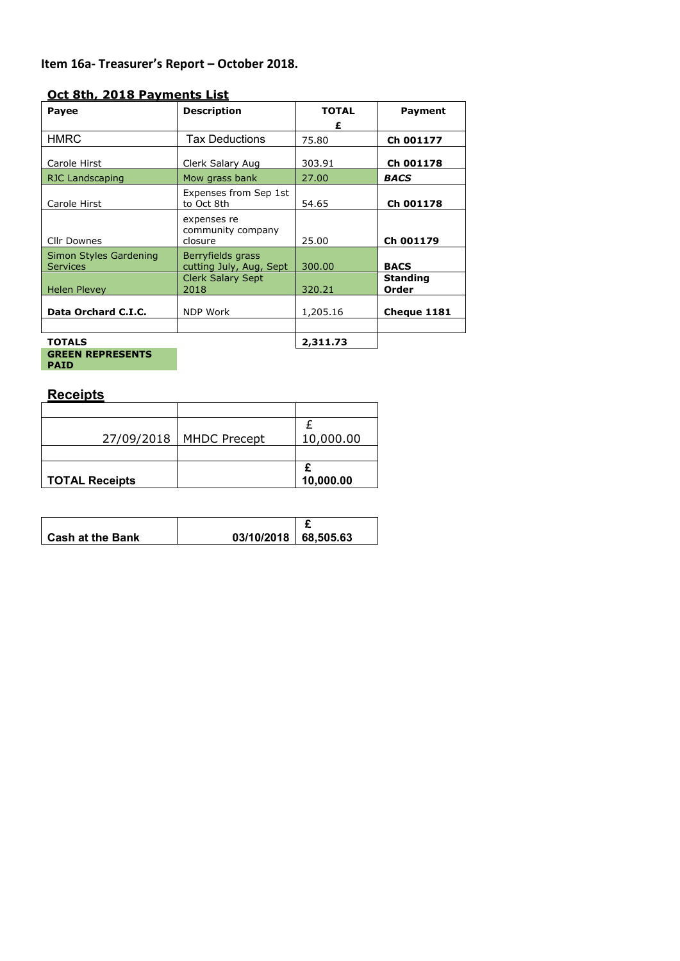# **Item 16a- Treasurer's Report – October 2018.**

## **Oct 8th, 2018 Payments List**

| <b>Payee</b>                              | <b>Description</b>                           | <b>TOTAL</b> | Payment                  |
|-------------------------------------------|----------------------------------------------|--------------|--------------------------|
|                                           |                                              | £            |                          |
| <b>HMRC</b>                               | <b>Tax Deductions</b>                        | 75.80        | Ch 001177                |
| Carole Hirst                              | Clerk Salary Aug                             | 303.91       | Ch 001178                |
| RJC Landscaping                           | Mow grass bank                               | 27.00        | <b>BACS</b>              |
| Carole Hirst                              | Expenses from Sep 1st<br>to Oct 8th          | 54.65        | Ch 001178                |
| <b>Cllr Downes</b>                        | expenses re<br>community company<br>closure  | 25.00        | Ch 001179                |
| Simon Styles Gardening<br><b>Services</b> | Berryfields grass<br>cutting July, Aug, Sept | 300.00       | <b>BACS</b>              |
| <b>Helen Plevey</b>                       | <b>Clerk Salary Sept</b><br>2018             | 320.21       | <b>Standing</b><br>Order |
| Data Orchard C.I.C.                       | <b>NDP Work</b>                              | 1,205.16     | Cheque 1181              |
| <b>TOTALS</b>                             |                                              | 2,311.73     |                          |
| <b>GREEN REPRESENTS</b>                   |                                              |              |                          |

**PAID**

# **Receipts**

| <b>TOTAL Receipts</b> |                     | 10,000.00 |
|-----------------------|---------------------|-----------|
|                       |                     |           |
| 27/09/2018            | <b>MHDC Precept</b> | 10,000.00 |
|                       |                     |           |
|                       |                     |           |

| <b>Cash at the Bank</b> | 03/10/2018   68.505.63 |  |
|-------------------------|------------------------|--|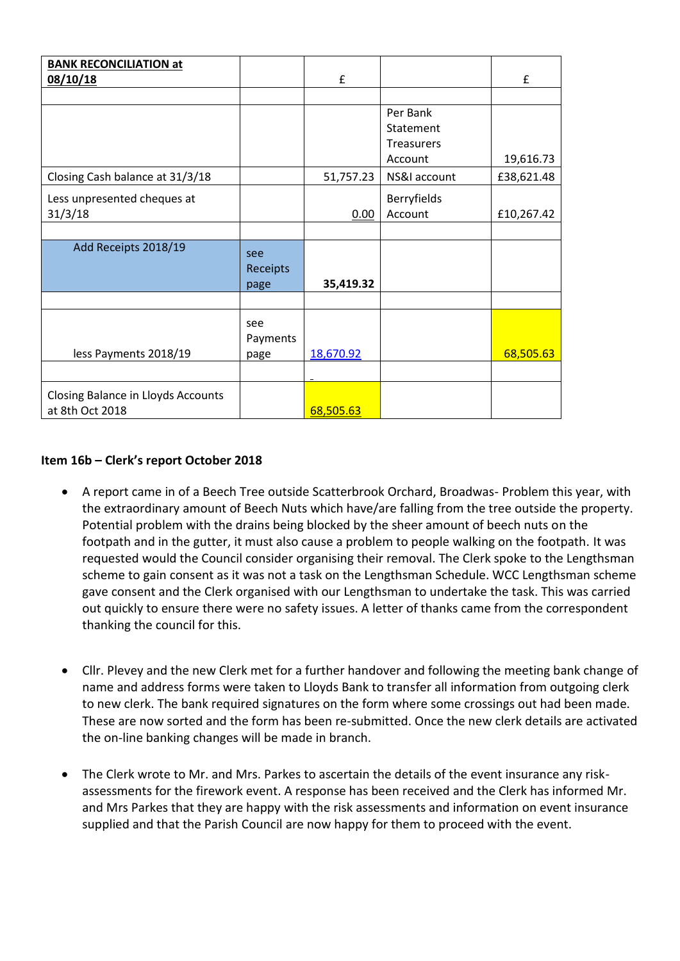| <b>BANK RECONCILIATION at</b>      |          |           |                   |            |
|------------------------------------|----------|-----------|-------------------|------------|
| 08/10/18                           |          | £         |                   | £          |
|                                    |          |           |                   |            |
|                                    |          |           | Per Bank          |            |
|                                    |          |           | Statement         |            |
|                                    |          |           | <b>Treasurers</b> |            |
|                                    |          |           | Account           | 19,616.73  |
| Closing Cash balance at 31/3/18    |          | 51,757.23 | NS&I account      | £38,621.48 |
| Less unpresented cheques at        |          |           | Berryfields       |            |
| 31/3/18                            |          | 0.00      | Account           | £10,267.42 |
|                                    |          |           |                   |            |
| Add Receipts 2018/19               | see      |           |                   |            |
|                                    | Receipts |           |                   |            |
|                                    | page     | 35,419.32 |                   |            |
|                                    |          |           |                   |            |
|                                    | see      |           |                   |            |
|                                    | Payments |           |                   |            |
| less Payments 2018/19              | page     | 18,670.92 |                   | 68,505.63  |
|                                    |          |           |                   |            |
|                                    |          |           |                   |            |
| Closing Balance in Lloyds Accounts |          |           |                   |            |
| at 8th Oct 2018                    |          | 68,505.63 |                   |            |

#### **Item 16b – Clerk's report October 2018**

- A report came in of a Beech Tree outside Scatterbrook Orchard, Broadwas- Problem this year, with the extraordinary amount of Beech Nuts which have/are falling from the tree outside the property. Potential problem with the drains being blocked by the sheer amount of beech nuts on the footpath and in the gutter, it must also cause a problem to people walking on the footpath. It was requested would the Council consider organising their removal. The Clerk spoke to the Lengthsman scheme to gain consent as it was not a task on the Lengthsman Schedule. WCC Lengthsman scheme gave consent and the Clerk organised with our Lengthsman to undertake the task. This was carried out quickly to ensure there were no safety issues. A letter of thanks came from the correspondent thanking the council for this.
- Cllr. Plevey and the new Clerk met for a further handover and following the meeting bank change of name and address forms were taken to Lloyds Bank to transfer all information from outgoing clerk to new clerk. The bank required signatures on the form where some crossings out had been made. These are now sorted and the form has been re-submitted. Once the new clerk details are activated the on-line banking changes will be made in branch.
- The Clerk wrote to Mr. and Mrs. Parkes to ascertain the details of the event insurance any riskassessments for the firework event. A response has been received and the Clerk has informed Mr. and Mrs Parkes that they are happy with the risk assessments and information on event insurance supplied and that the Parish Council are now happy for them to proceed with the event.